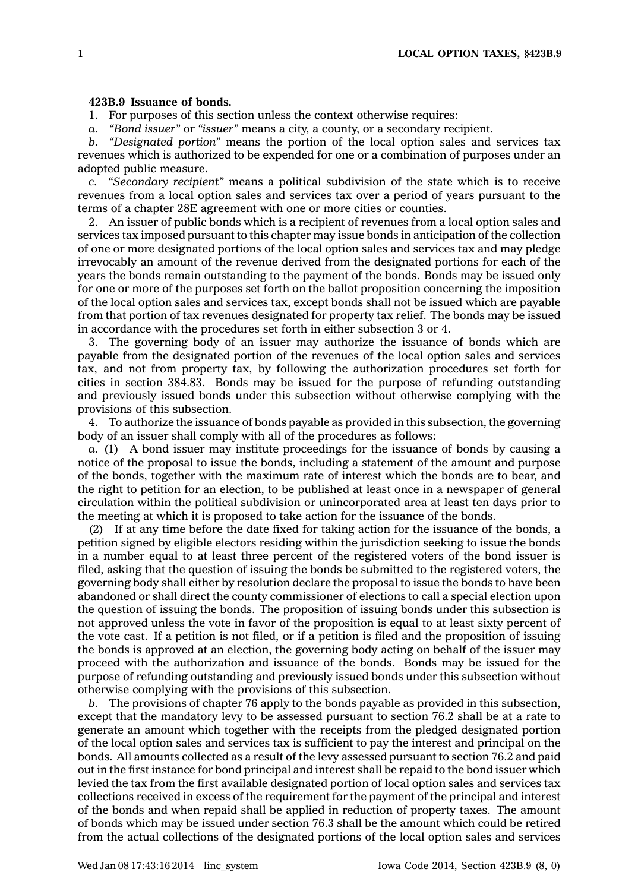## **423B.9 Issuance of bonds.**

1. For purposes of this section unless the context otherwise requires:

*a. "Bond issuer"* or *"issuer"* means <sup>a</sup> city, <sup>a</sup> county, or <sup>a</sup> secondary recipient.

*b. "Designated portion"* means the portion of the local option sales and services tax revenues which is authorized to be expended for one or <sup>a</sup> combination of purposes under an adopted public measure.

*c. "Secondary recipient"* means <sup>a</sup> political subdivision of the state which is to receive revenues from <sup>a</sup> local option sales and services tax over <sup>a</sup> period of years pursuant to the terms of <sup>a</sup> chapter 28E agreement with one or more cities or counties.

2. An issuer of public bonds which is <sup>a</sup> recipient of revenues from <sup>a</sup> local option sales and services tax imposed pursuant to this chapter may issue bonds in anticipation of the collection of one or more designated portions of the local option sales and services tax and may pledge irrevocably an amount of the revenue derived from the designated portions for each of the years the bonds remain outstanding to the payment of the bonds. Bonds may be issued only for one or more of the purposes set forth on the ballot proposition concerning the imposition of the local option sales and services tax, except bonds shall not be issued which are payable from that portion of tax revenues designated for property tax relief. The bonds may be issued in accordance with the procedures set forth in either subsection 3 or 4.

3. The governing body of an issuer may authorize the issuance of bonds which are payable from the designated portion of the revenues of the local option sales and services tax, and not from property tax, by following the authorization procedures set forth for cities in section 384.83. Bonds may be issued for the purpose of refunding outstanding and previously issued bonds under this subsection without otherwise complying with the provisions of this subsection.

4. To authorize the issuance of bonds payable as provided in this subsection, the governing body of an issuer shall comply with all of the procedures as follows:

*a.* (1) A bond issuer may institute proceedings for the issuance of bonds by causing <sup>a</sup> notice of the proposal to issue the bonds, including <sup>a</sup> statement of the amount and purpose of the bonds, together with the maximum rate of interest which the bonds are to bear, and the right to petition for an election, to be published at least once in <sup>a</sup> newspaper of general circulation within the political subdivision or unincorporated area at least ten days prior to the meeting at which it is proposed to take action for the issuance of the bonds.

(2) If at any time before the date fixed for taking action for the issuance of the bonds, <sup>a</sup> petition signed by eligible electors residing within the jurisdiction seeking to issue the bonds in <sup>a</sup> number equal to at least three percent of the registered voters of the bond issuer is filed, asking that the question of issuing the bonds be submitted to the registered voters, the governing body shall either by resolution declare the proposal to issue the bonds to have been abandoned or shall direct the county commissioner of elections to call <sup>a</sup> special election upon the question of issuing the bonds. The proposition of issuing bonds under this subsection is not approved unless the vote in favor of the proposition is equal to at least sixty percent of the vote cast. If <sup>a</sup> petition is not filed, or if <sup>a</sup> petition is filed and the proposition of issuing the bonds is approved at an election, the governing body acting on behalf of the issuer may proceed with the authorization and issuance of the bonds. Bonds may be issued for the purpose of refunding outstanding and previously issued bonds under this subsection without otherwise complying with the provisions of this subsection.

*b.* The provisions of chapter 76 apply to the bonds payable as provided in this subsection, except that the mandatory levy to be assessed pursuant to section 76.2 shall be at <sup>a</sup> rate to generate an amount which together with the receipts from the pledged designated portion of the local option sales and services tax is sufficient to pay the interest and principal on the bonds. All amounts collected as <sup>a</sup> result of the levy assessed pursuant to section 76.2 and paid out in the first instance for bond principal and interest shall be repaid to the bond issuer which levied the tax from the first available designated portion of local option sales and services tax collections received in excess of the requirement for the payment of the principal and interest of the bonds and when repaid shall be applied in reduction of property taxes. The amount of bonds which may be issued under section 76.3 shall be the amount which could be retired from the actual collections of the designated portions of the local option sales and services